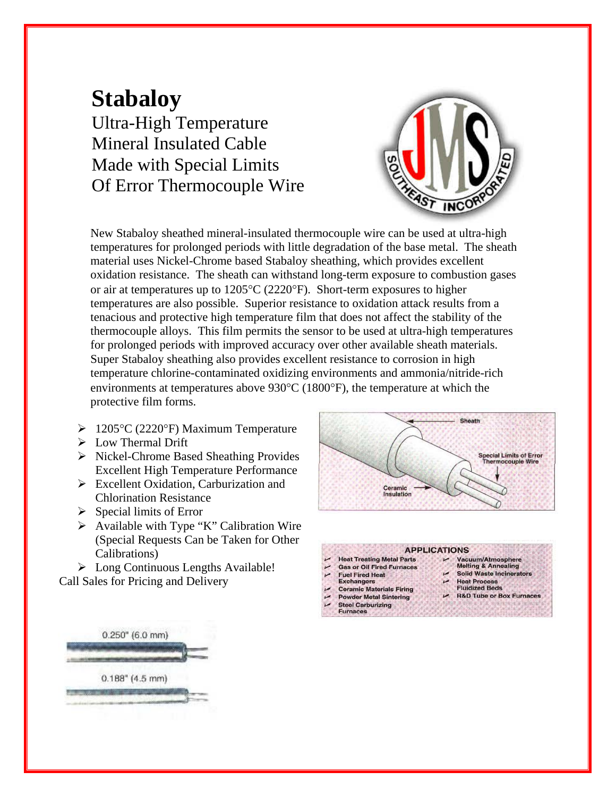## **Stabaloy**  Ultra-High Temperature Mineral Insulated Cable Made with Special Limits Of Error Thermocouple Wire



New Stabaloy sheathed mineral-insulated thermocouple wire can be used at ultra-high temperatures for prolonged periods with little degradation of the base metal. The sheath material uses Nickel-Chrome based Stabaloy sheathing, which provides excellent oxidation resistance. The sheath can withstand long-term exposure to combustion gases or air at temperatures up to 1205°C (2220°F). Short-term exposures to higher temperatures are also possible. Superior resistance to oxidation attack results from a tenacious and protective high temperature film that does not affect the stability of the thermocouple alloys. This film permits the sensor to be used at ultra-high temperatures for prolonged periods with improved accuracy over other available sheath materials. Super Stabaloy sheathing also provides excellent resistance to corrosion in high temperature chlorine-contaminated oxidizing environments and ammonia/nitride-rich environments at temperatures above 930°C (1800°F), the temperature at which the protective film forms.

- $\geq 1205^{\circ}$ C (2220°F) Maximum Temperature
- $\triangleright$  Low Thermal Drift
- ¾ Nickel-Chrome Based Sheathing Provides Excellent High Temperature Performance
- ¾ Excellent Oxidation, Carburization and Chlorination Resistance
- $\triangleright$  Special limits of Error
- $\triangleright$  Available with Type "K" Calibration Wire (Special Requests Can be Taken for Other Calibrations)
- $\triangleright$  Long Continuous Lengths Available!

Call Sales for Pricing and Delivery